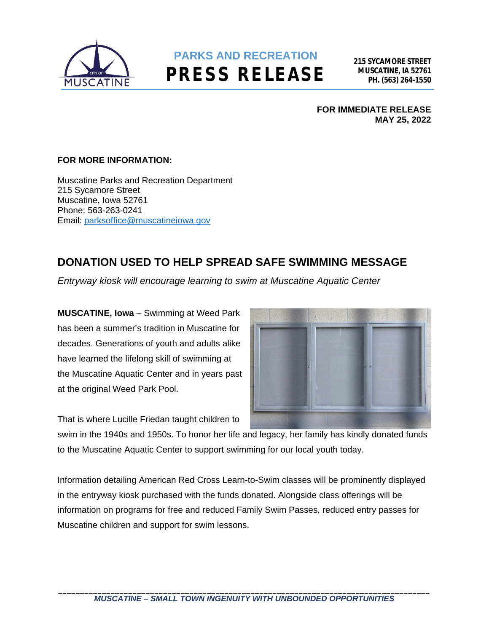

## **PARKS AND RECREATION PRESS RELEASE**

**FOR IMMEDIATE RELEASE MAY 25, 2022**

## **FOR MORE INFORMATION:**

Muscatine Parks and Recreation Department 215 Sycamore Street Muscatine, Iowa 52761 Phone: 563-263-0241 Email: [parksoffice@muscatineiowa.gov](mailto:parksoffice@muscatineiowa.gov)

## **DONATION USED TO HELP SPREAD SAFE SWIMMING MESSAGE**

*Entryway kiosk will encourage learning to swim at Muscatine Aquatic Center*

**MUSCATINE, Iowa** – Swimming at Weed Park has been a summer's tradition in Muscatine for decades. Generations of youth and adults alike have learned the lifelong skill of swimming at the Muscatine Aquatic Center and in years past at the original Weed Park Pool.



That is where Lucille Friedan taught children to

swim in the 1940s and 1950s. To honor her life and legacy, her family has kindly donated funds to the Muscatine Aquatic Center to support swimming for our local youth today.

Information detailing American Red Cross Learn-to-Swim classes will be prominently displayed in the entryway kiosk purchased with the funds donated. Alongside class offerings will be information on programs for free and reduced Family Swim Passes, reduced entry passes for Muscatine children and support for swim lessons.